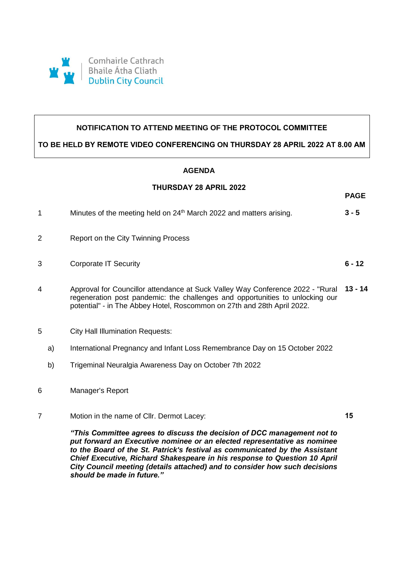

## **NOTIFICATION TO ATTEND MEETING OF THE PROTOCOL COMMITTEE**

**TO BE HELD BY REMOTE VIDEO CONFERENCING ON THURSDAY 28 APRIL 2022 AT 8.00 AM**

## **AGENDA**

## **THURSDAY 28 APRIL 2022**

**PAGE**

|   | Minutes of the meeting held on 24 <sup>th</sup> March 2022 and matters arising.                                                                                         | $3 - 5$  |
|---|-------------------------------------------------------------------------------------------------------------------------------------------------------------------------|----------|
| 2 | Report on the City Twinning Process                                                                                                                                     |          |
| 3 | Corporate IT Security                                                                                                                                                   | $6 - 12$ |
| 4 | Approval for Councillor attendance at Suck Valley Way Conference 2022 - "Rural 13 - 14<br>regeneration post pandemic: the challenges and opportunities to unlocking our |          |

- potential" in The Abbey Hotel, Roscommon on 27th and 28th April 2022.
- 5 City Hall Illumination Requests:
	- a) International Pregnancy and Infant Loss Remembrance Day on 15 October 2022
	- b) Trigeminal Neuralgia Awareness Day on October 7th 2022
- 6 Manager's Report
- 7 Motion in the name of Cllr. Dermot Lacey:

**15**

*"This Committee agrees to discuss the decision of DCC management not to put forward an Executive nominee or an elected representative as nominee to the Board of the St. Patrick's festival as communicated by the Assistant Chief Executive, Richard Shakespeare in his response to Question 10 April City Council meeting (details attached) and to consider how such decisions should be made in future."*